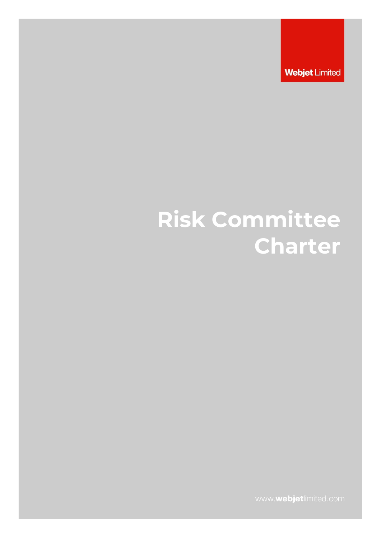**Webjet Limited** 

# **Risk Committee Charter**

www.webjetlimited.com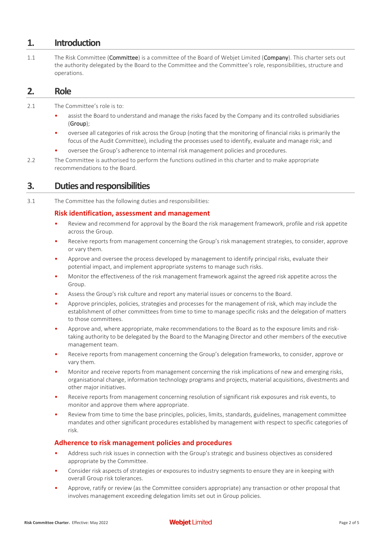# **1. Introduction**

1.1 The Risk Committee (Committee) is a committee of the Board of Webiet Limited (Company). This charter sets out the authority delegated by the Board to the Committee and the Committee's role, responsibilities, structure and operations.

# **2. Role**

2.1 The Committee's role is to:

- assist the Board to understand and manage the risks faced by the Company and its controlled subsidiaries (Group);
- oversee all categories of risk across the Group (noting that the monitoring of financial risks is primarily the focus of the Audit Committee), including the processes used to identify, evaluate and manage risk; and
- oversee the Group's adherence to internal risk management policies and procedures.
- 2.2 The Committee is authorised to perform the functions outlined in this charter and to make appropriate recommendations to the Board.

# **3. Duties and responsibilities**

3.1 The Committee has the following duties and responsibilities:

## **Risk identification, assessment and management**

- Review and recommend for approval by the Board the risk management framework, profile and risk appetite across the Group.
- Receive reports from management concerning the Group's risk management strategies, to consider, approve or vary them.
- Approve and oversee the process developed by management to identify principal risks, evaluate their potential impact, and implement appropriate systems to manage such risks.
- Monitor the effectiveness of the risk management framework against the agreed risk appetite across the Group.
- Assess the Group's risk culture and report any material issues or concerns to the Board.
- Approve principles, policies, strategies and processes for the management of risk, which may include the establishment of other committees from time to time to manage specific risks and the delegation of matters to those committees.
- Approve and, where appropriate, make recommendations to the Board as to the exposure limits and risktaking authority to be delegated by the Board to the Managing Director and other members of the executive management team.
- Receive reports from management concerning the Group's delegation frameworks, to consider, approve or vary them.
- Monitor and receive reports from management concerning the risk implications of new and emerging risks, organisational change, information technology programs and projects, material acquisitions, divestments and other major initiatives.
- Receive reports from management concerning resolution of significant risk exposures and risk events, to monitor and approve them where appropriate.
- Review from time to time the base principles, policies, limits, standards, guidelines, management committee mandates and other significant procedures established by management with respect to specific categories of risk.

### **Adherence to risk management policies and procedures**

- Address such risk issues in connection with the Group's strategic and business objectives as considered appropriate by the Committee.
- Consider risk aspects of strategies or exposures to industry segments to ensure they are in keeping with overall Group risk tolerances.
- Approve, ratify or review (as the Committee considers appropriate) any transaction or other proposal that involves management exceeding delegation limits set out in Group policies.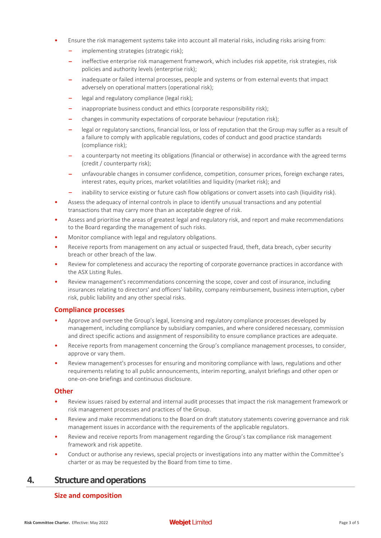- Ensure the risk management systems take into account all material risks, including risks arising from:
	- implementing strategies (strategic risk);
	- ‒ ineffective enterprise risk management framework, which includes risk appetite, risk strategies, risk policies and authority levels (enterprise risk);
	- inadequate or failed internal processes, people and systems or from external events that impact adversely on operational matters (operational risk);
	- legal and regulatory compliance (legal risk);
	- inappropriate business conduct and ethics (corporate responsibility risk);
	- ‒ changes in community expectations of corporate behaviour (reputation risk);
	- legal or regulatory sanctions, financial loss, or loss of reputation that the Group may suffer as a result of a failure to comply with applicable regulations, codes of conduct and good practice standards (compliance risk);
	- ‒ a counterparty not meeting its obligations (financial or otherwise) in accordance with the agreed terms (credit / counterparty risk);
	- ‒ unfavourable changes in consumer confidence, competition, consumer prices, foreign exchange rates, interest rates, equity prices, market volatilities and liquidity (market risk); and
	- ‒ inability to service existing or future cash flow obligations or convert assets into cash (liquidity risk).
- Assess the adequacy of internal controls in place to identify unusual transactions and any potential transactions that may carry more than an acceptable degree of risk.
- Assess and prioritise the areas of greatest legal and regulatory risk, and report and make recommendations to the Board regarding the management of such risks.
- Monitor compliance with legal and regulatory obligations.
- Receive reports from management on any actual or suspected fraud, theft, data breach, cyber security breach or other breach of the law.
- Review for completeness and accuracy the reporting of corporate governance practices in accordance with the ASX Listing Rules.
- Review management's recommendations concerning the scope, cover and cost of insurance, including insurances relating to directors' and officers' liability, company reimbursement, business interruption, cyber risk, public liability and any other special risks.

#### **Compliance processes**

- Approve and oversee the Group's legal, licensing and regulatory compliance processes developed by management, including compliance by subsidiary companies, and where considered necessary, commission and direct specific actions and assignment of responsibility to ensure compliance practices are adequate.
- Receive reports from management concerning the Group's compliance management processes, to consider, approve or vary them.
- Review management's processes for ensuring and monitoring compliance with laws, regulations and other requirements relating to all public announcements, interim reporting, analyst briefings and other open or one-on-one briefings and continuous disclosure.

#### **Other**

- Review issues raised by external and internal audit processes that impact the risk management framework or risk management processes and practices of the Group.
- Review and make recommendations to the Board on draft statutory statements covering governance and risk management issues in accordance with the requirements of the applicable regulators.
- Review and receive reports from management regarding the Group's tax compliance risk management framework and risk appetite.
- Conduct or authorise any reviews, special projects or investigations into any matter within the Committee's charter or as may be requested by the Board from time to time.

# **4. Structure and operations**

#### **Size and composition**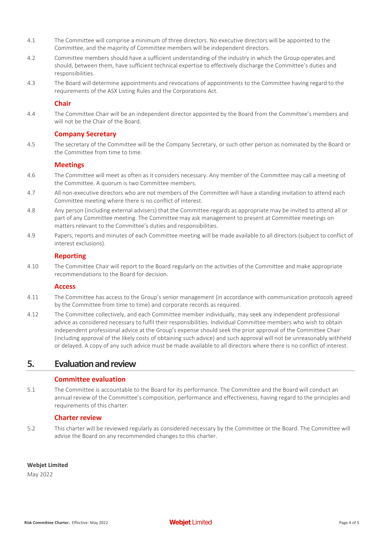- 4.1 The Committee will comprise a minimum of three directors. No executive directors will be appointed to the Committee, and the majority of Committee members will be independent directors.
- 4.2 Committee members should have a sufficient understanding of the industry in which the Group operates and should, between them, have sufficient technical expertise to effectively discharge the Committee's duties and responsibilities.
- 4.3 The Board will determine appointments and revocations of appointments to the Committee having regard to the requirements of the ASX Listing Rules and the Corporations Act.

#### **Chair**

4.4 The Committee Chair will be an independent director appointed by the Board from the Committee's members and will not be the Chair of the Board.

#### **Company Secretary**

4.5 The secretary of the Committee will be the Company Secretary, or such other person as nominated by the Board or the Committee from time to time.

#### **Meetings**

- 4.6 The Committee will meet as often as it considers necessary. Any member of the Committee may call a meeting of the Committee. A quorum is two Committee members.
- 4.7 All non-executive directors who are not members of the Committee will have a standing invitation to attend each Committee meeting where there is no conflict of interest.
- 4.8 Any person (including external advisers) that the Committee regards as appropriate may be invited to attend all or part of any Committee meeting. The Committee may ask management to present at Committee meetings on matters relevant to the Committee's duties and responsibilities.
- 4.9 Papers, reports and minutes of each Committee meeting will be made available to all directors (subject to conflict of interest exclusions).

#### **Reporting**

4.10 The Committee Chair will report to the Board regularly on the activities of the Committee and make appropriate recommendations to the Board for decision.

#### **Access**

- 4.11 The Committee has access to the Group's senior management (in accordance with communication protocols agreed by the Committee from time to time) and corporate records as required.
- 4.12 The Committee collectively, and each Committee member individually, may seek any independent professional advice as considered necessary to fulfil their responsibilities. Individual Committee members who wish to obtain independent professional advice at the Group's expense should seek the prior approval of the Committee Chair (including approval of the likely costs of obtaining such advice) and such approval will not be unreasonably withheld or delayed. A copy of any such advice must be made available to all directors where there is no conflict of interest.

# **5. Evaluation and review**

#### **Committee evaluation**

5.1 The Committee is accountable to the Board for its performance. The Committee and the Board will conduct an annual review of the Committee's composition, performance and effectiveness, having regard to the principles and requirements of this charter.

#### **Charter review**

5.2 This charter will be reviewed regularly as considered necessary by the Committee or the Board. The Committee will advise the Board on any recommended changes to this charter.

#### **Webjet Limited**

May 2022